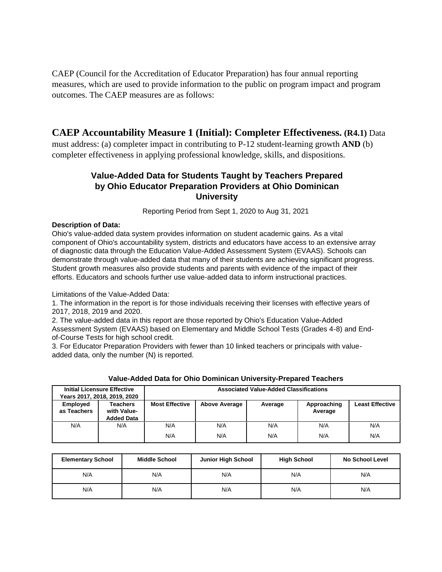CAEP (Council for the Accreditation of Educator Preparation) has four annual reporting measures, which are used to provide information to the public on program impact and program outcomes. The CAEP measures are as follows:

## **CAEP Accountability Measure 1 (Initial): Completer Effectiveness. (R4.1)** Data

must address: (a) completer impact in contributing to P-12 student-learning growth **AND** (b) completer effectiveness in applying professional knowledge, skills, and dispositions.

### **Value-Added Data for Students Taught by Teachers Prepared by Ohio Educator Preparation Providers at Ohio Dominican University**

Reporting Period from Sept 1, 2020 to Aug 31, 2021

#### **Description of Data:**

Ohio's value-added data system provides information on student academic gains. As a vital component of Ohio's accountability system, districts and educators have access to an extensive array of diagnostic data through the Education Value-Added Assessment System (EVAAS). Schools can demonstrate through value-added data that many of their students are achieving significant progress. Student growth measures also provide students and parents with evidence of the impact of their efforts. Educators and schools further use value-added data to inform instructional practices.

Limitations of the Value-Added Data:

1. The information in the report is for those individuals receiving their licenses with effective years of 2017, 2018, 2019 and 2020.

2. The value-added data in this report are those reported by Ohio's Education Value-Added Assessment System (EVAAS) based on Elementary and Middle School Tests (Grades 4-8) and Endof-Course Tests for high school credit.

3. For Educator Preparation Providers with fewer than 10 linked teachers or principals with valueadded data, only the number (N) is reported.

|                         | <b>Initial Licensure Effective</b><br>Years 2017, 2018, 2019, 2020 | <b>Associated Value-Added Classifications</b> |                      |         |                        |                        |
|-------------------------|--------------------------------------------------------------------|-----------------------------------------------|----------------------|---------|------------------------|------------------------|
| Employed<br>as Teachers | <b>Teachers</b><br>with Value-<br><b>Added Data</b>                | <b>Most Effective</b>                         | <b>Above Average</b> | Average | Approaching<br>Average | <b>Least Effective</b> |
| N/A                     | N/A                                                                | N/A                                           | N/A                  | N/A     | N/A                    | N/A                    |
|                         |                                                                    | N/A                                           | N/A                  | N/A     | N/A                    | N/A                    |

| Value-Added Data for Ohio Dominican University-Prepared Teachers |  |  |  |
|------------------------------------------------------------------|--|--|--|
|                                                                  |  |  |  |

| <b>Elementary School</b> | <b>Middle School</b> | <b>Junior High School</b> | <b>High School</b> | No School Level |
|--------------------------|----------------------|---------------------------|--------------------|-----------------|
| N/A                      | N/A                  | N/A                       | N/A                | N/A             |
| N/A                      | N/A                  | N/A                       | N/A                | N/A             |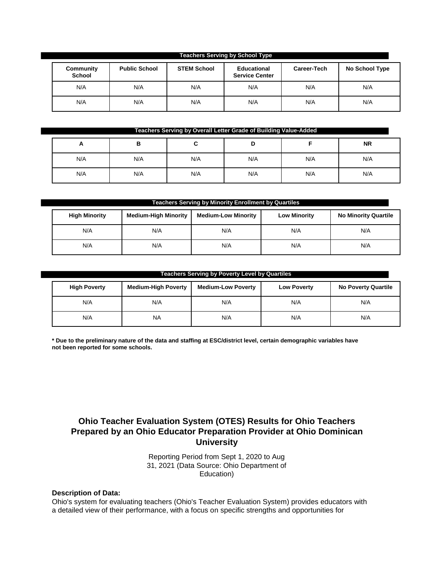| <b>Teachers Serving by School Type</b> |                      |                    |                                             |                    |                |
|----------------------------------------|----------------------|--------------------|---------------------------------------------|--------------------|----------------|
| Community<br><b>School</b>             | <b>Public School</b> | <b>STEM School</b> | <b>Educational</b><br><b>Service Center</b> | <b>Career-Tech</b> | No School Type |
| N/A                                    | N/A                  | N/A                | N/A                                         | N/A                | N/A            |
| N/A                                    | N/A                  | N/A                | N/A                                         | N/A                | N/A            |

| Teachers Serving by Overall Letter Grade of Building Value-Added |     |     |     |     |           |
|------------------------------------------------------------------|-----|-----|-----|-----|-----------|
| m                                                                | в   | u   | D   |     | <b>NR</b> |
| N/A                                                              | N/A | N/A | N/A | N/A | N/A       |
| N/A                                                              | N/A | N/A | N/A | N/A | N/A       |

| <b>Teachers Serving by Minority Enrollment by Quartiles</b> |                             |                            |                     |                             |  |
|-------------------------------------------------------------|-----------------------------|----------------------------|---------------------|-----------------------------|--|
| <b>High Minority</b>                                        | <b>Medium-High Minority</b> | <b>Medium-Low Minority</b> | <b>Low Minority</b> | <b>No Minority Quartile</b> |  |
| N/A                                                         | N/A                         | N/A                        | N/A                 | N/A                         |  |
| N/A                                                         | N/A                         | N/A                        | N/A                 | N/A                         |  |

#### **Teachers Serving by Poverty Level by Quartiles**

| <b>High Poverty</b> | <b>Medium-High Poverty</b> | <b>Medium-Low Poverty</b> | <b>Low Poverty</b> | <b>No Poverty Quartile</b> |
|---------------------|----------------------------|---------------------------|--------------------|----------------------------|
| N/A                 | N/A                        | N/A                       | N/A                | N/A                        |
| N/A                 | <b>NA</b>                  | N/A                       | N/A                | N/A                        |

\* Due to the preliminary nature of the data and staffing at ESC/district level, certain demographic variables have **not been reported for some schools.**

## **Ohio Teacher Evaluation System (OTES) Results for Ohio Teachers Prepared by an Ohio Educator Preparation Provider at Ohio Dominican University**

Reporting Period from Sept 1, 2020 to Aug 31, 2021 (Data Source: Ohio Department of Education)

#### **Description of Data:**

Ohio's system for evaluating teachers (Ohio's Teacher Evaluation System) provides educators with a detailed view of their performance, with a focus on specific strengths and opportunities for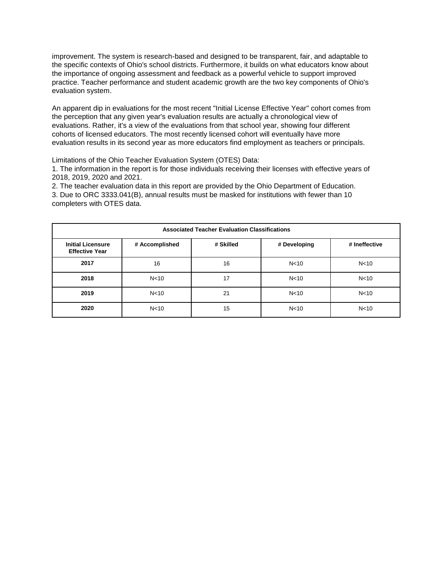improvement. The system is research-based and designed to be transparent, fair, and adaptable to the specific contexts of Ohio's school districts. Furthermore, it builds on what educators know about the importance of ongoing assessment and feedback as a powerful vehicle to support improved practice. Teacher performance and student academic growth are the two key components of Ohio's evaluation system.

An apparent dip in evaluations for the most recent "Initial License Effective Year" cohort comes from the perception that any given year's evaluation results are actually a chronological view of evaluations. Rather, it's a view of the evaluations from that school year, showing four different cohorts of licensed educators. The most recently licensed cohort will eventually have more evaluation results in its second year as more educators find employment as teachers or principals.

Limitations of the Ohio Teacher Evaluation System (OTES) Data:

1. The information in the report is for those individuals receiving their licenses with effective years of 2018, 2019, 2020 and 2021.

2. The teacher evaluation data in this report are provided by the Ohio Department of Education. 3. Due to ORC 3333.041(B), annual results must be masked for institutions with fewer than 10 completers with OTES data.

| <b>Associated Teacher Evaluation Classifications</b> |                 |           |                 |                 |  |
|------------------------------------------------------|-----------------|-----------|-----------------|-----------------|--|
| <b>Initial Licensure</b><br><b>Effective Year</b>    | # Accomplished  | # Skilled | # Developing    | # Ineffective   |  |
| 2017                                                 | 16              | 16        | N <sub>10</sub> | N <sub>10</sub> |  |
| 2018                                                 | N <sub>10</sub> | 17        | N <sub>10</sub> | N <sub>10</sub> |  |
| 2019                                                 | N <sub>10</sub> | 21        | N <sub>10</sub> | N <sub>10</sub> |  |
| 2020                                                 | N <sub>10</sub> | 15        | N <sub>10</sub> | N <sub>10</sub> |  |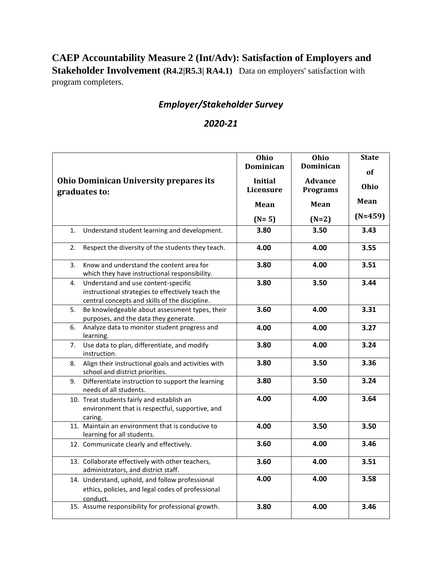# **CAEP Accountability Measure 2 (Int/Adv): Satisfaction of Employers and Stakeholder Involvement (R4.2|R5.3| RA4.1)** Data on employers' satisfaction with program completers.

# *Employer/Stakeholder Survey*

## *2020-21*

|                |                                                                                                                                            | Ohio<br>Dominican           | Ohio<br><b>Dominican</b>          | <b>State</b><br>of |
|----------------|--------------------------------------------------------------------------------------------------------------------------------------------|-----------------------------|-----------------------------------|--------------------|
|                | <b>Ohio Dominican University prepares its</b><br>graduates to:                                                                             | <b>Initial</b><br>Licensure | <b>Advance</b><br><b>Programs</b> | Ohio               |
|                |                                                                                                                                            | Mean                        | Mean                              | Mean               |
|                |                                                                                                                                            | $(N=5)$                     | $(N=2)$                           | $(N=459)$          |
| $\mathbf{1}$ . | Understand student learning and development.                                                                                               | 3.80                        | 3.50                              | 3.43               |
| 2.             | Respect the diversity of the students they teach.                                                                                          | 4.00                        | 4.00                              | 3.55               |
| 3.             | Know and understand the content area for<br>which they have instructional responsibility.                                                  | 3.80                        | 4.00                              | 3.51               |
| 4.             | Understand and use content-specific<br>instructional strategies to effectively teach the<br>central concepts and skills of the discipline. | 3.80                        | 3.50                              | 3.44               |
| 5.             | Be knowledgeable about assessment types, their<br>purposes, and the data they generate.                                                    | 3.60                        | 4.00                              | 3.31               |
| 6.             | Analyze data to monitor student progress and<br>learning.                                                                                  | 4.00                        | 4.00                              | 3.27               |
| 7.             | Use data to plan, differentiate, and modify<br>instruction.                                                                                | 3.80                        | 4.00                              | 3.24               |
| 8.             | Align their instructional goals and activities with<br>school and district priorities.                                                     | 3.80                        | 3.50                              | 3.36               |
| 9.             | Differentiate instruction to support the learning<br>needs of all students.                                                                | 3.80                        | 3.50                              | 3.24               |
|                | 10. Treat students fairly and establish an<br>environment that is respectful, supportive, and<br>caring.                                   | 4.00                        | 4.00                              | 3.64               |
|                | 11. Maintain an environment that is conducive to<br>learning for all students.                                                             | 4.00                        | 3.50                              | 3.50               |
|                | 12. Communicate clearly and effectively.                                                                                                   | 3.60                        | 4.00                              | 3.46               |
|                | 13. Collaborate effectively with other teachers,<br>administrators, and district staff.                                                    | 3.60                        | 4.00                              | 3.51               |
|                | 14. Understand, uphold, and follow professional<br>ethics, policies, and legal codes of professional<br>conduct.                           | 4.00                        | 4.00                              | 3.58               |
|                | 15. Assume responsibility for professional growth.                                                                                         | 3.80                        | 4.00                              | 3.46               |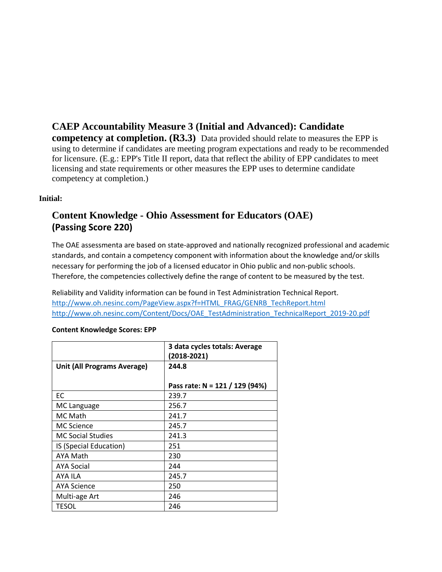**CAEP Accountability Measure 3 (Initial and Advanced): Candidate competency at completion. (R3.3)** Data provided should relate to measures the EPP is using to determine if candidates are meeting program expectations and ready to be recommended for licensure. (E.g.: EPP's Title II report, data that reflect the ability of EPP candidates to meet licensing and state requirements or other measures the EPP uses to determine candidate competency at completion.)

#### **Initial:**

# **Content Knowledge - Ohio Assessment for Educators (OAE) (Passing Score 220)**

The OAE assessmenta are based on state-approved and nationally recognized professional and academic standards, and contain a competency component with information about the knowledge and/or skills necessary for performing the job of a licensed educator in Ohio public and non-public schools. Therefore, the competencies collectively define the range of content to be measured by the test.

Reliability and Validity information can be found in Test Administration Technical Report. [http://www.oh.nesinc.com/PageView.aspx?f=HTML\\_FRAG/GENRB\\_TechReport.html](http://www.oh.nesinc.com/PageView.aspx?f=HTML_FRAG/GENRB_TechReport.html) [http://www.oh.nesinc.com/Content/Docs/OAE\\_TestAdministration\\_TechnicalReport\\_2019-20.pdf](http://www.oh.nesinc.com/Content/Docs/OAE_TestAdministration_TechnicalReport_2019-20.pdf)

|                                    | 3 data cycles totals: Average<br>(2018-2021) |
|------------------------------------|----------------------------------------------|
| <b>Unit (All Programs Average)</b> | 244.8                                        |
|                                    |                                              |
|                                    | Pass rate: N = 121 / 129 (94%)               |
| EC                                 | 239.7                                        |
| MC Language                        | 256.7                                        |
| MC Math                            | 241.7                                        |
| <b>MC Science</b>                  | 245.7                                        |
| <b>MC Social Studies</b>           | 241.3                                        |
| IS (Special Education)             | 251                                          |
| AYA Math                           | 230                                          |
| <b>AYA Social</b>                  | 244                                          |
| AYA ILA                            | 245.7                                        |
| <b>AYA Science</b>                 | 250                                          |
| Multi-age Art                      | 246                                          |
| TESOL                              | 246                                          |

#### **Content Knowledge Scores: EPP**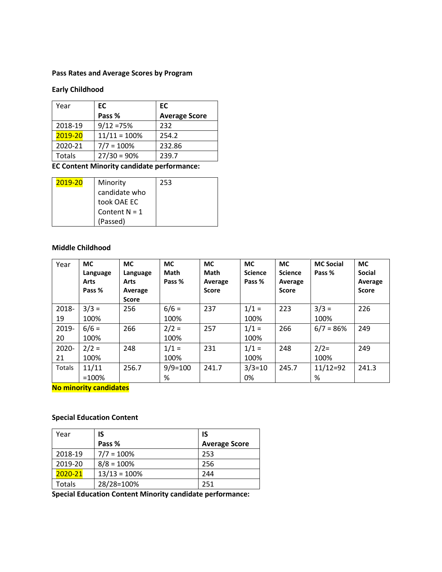#### **Pass Rates and Average Scores by Program**

### **Early Childhood**

| Year    | EC             | EC                   |
|---------|----------------|----------------------|
|         | Pass %         | <b>Average Score</b> |
| 2018-19 | $9/12 = 75%$   | 232                  |
| 2019-20 | $11/11 = 100%$ | 254.2                |
| 2020-21 | $7/7 = 100%$   | 232.86               |
| Totals  | $27/30 = 90%$  | 239.7                |

**EC Content Minority candidate performance:** 

| 2019-20 | Minority        | 253 |
|---------|-----------------|-----|
|         | candidate who   |     |
|         | took OAE EC     |     |
|         | Content $N = 1$ |     |
|         | (Passed)        |     |

#### **Middle Childhood**

| Year          | <b>MC</b><br>Language<br><b>Arts</b><br>Pass % | <b>MC</b><br>Language<br><b>Arts</b><br>Average<br><b>Score</b> | <b>MC</b><br><b>Math</b><br>Pass % | <b>MC</b><br>Math<br>Average<br><b>Score</b> | <b>MC</b><br><b>Science</b><br>Pass % | <b>MC</b><br><b>Science</b><br>Average<br><b>Score</b> | <b>MC Social</b><br>Pass % | <b>MC</b><br><b>Social</b><br>Average<br><b>Score</b> |
|---------------|------------------------------------------------|-----------------------------------------------------------------|------------------------------------|----------------------------------------------|---------------------------------------|--------------------------------------------------------|----------------------------|-------------------------------------------------------|
| 2018-         | $3/3 =$                                        | 256                                                             | $6/6 =$                            | 237                                          | $1/1 =$                               | 223                                                    | $3/3 =$                    | 226                                                   |
| 19            | 100%                                           |                                                                 | 100%                               |                                              | 100%                                  |                                                        | 100%                       |                                                       |
| 2019-         | $6/6 =$                                        | 266                                                             | $2/2 =$                            | 257                                          | $1/1 =$                               | 266                                                    | $6/7 = 86%$                | 249                                                   |
| 20            | 100%                                           |                                                                 | 100%                               |                                              | 100%                                  |                                                        |                            |                                                       |
| 2020-         | $2/2 =$                                        | 248                                                             | $1/1 =$                            | 231                                          | $1/1 =$                               | 248                                                    | $2/2=$                     | 249                                                   |
| 21            | 100%                                           |                                                                 | 100%                               |                                              | 100%                                  |                                                        | 100%                       |                                                       |
| <b>Totals</b> | 11/11                                          | 256.7                                                           | $9/9=100$                          | 241.7                                        | $3/3=10$                              | 245.7                                                  | $11/12=92$                 | 241.3                                                 |
|               | $=100%$                                        |                                                                 | %                                  |                                              | 0%                                    |                                                        | %                          |                                                       |

**No minority candidates**

#### **Special Education Content**

| Year    | IS             | -IS                  |
|---------|----------------|----------------------|
|         | Pass %         | <b>Average Score</b> |
| 2018-19 | $7/7 = 100%$   | 253                  |
| 2019-20 | $8/8 = 100%$   | 256                  |
| 2020-21 | $13/13 = 100%$ | 244                  |
| Totals  | 28/28=100%     | 251                  |

**Special Education Content Minority candidate performance:**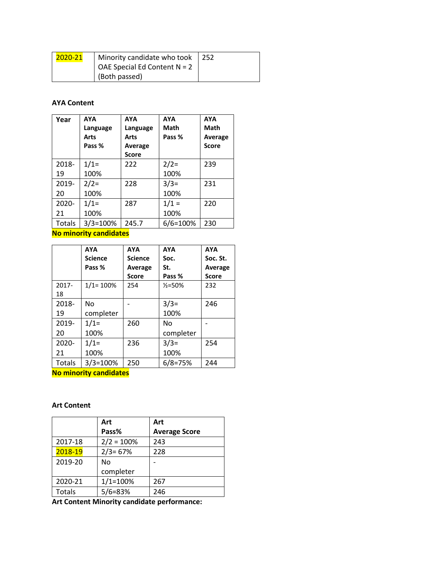| 2020-21 | Minority candidate who took $\vert$ 252 |  |
|---------|-----------------------------------------|--|
|         | OAE Special Ed Content $N = 2$          |  |
|         | (Both passed)                           |  |

#### **AYA Content**

| Year   | <b>AYA</b><br>Language<br>Arts<br>Pass % | <b>AYA</b><br>Language<br>Arts<br>Average<br><b>Score</b> | <b>AYA</b><br>Math<br>Pass % | <b>AYA</b><br><b>Math</b><br>Average<br><b>Score</b> |
|--------|------------------------------------------|-----------------------------------------------------------|------------------------------|------------------------------------------------------|
| 2018-  | $1/1=$                                   | 222                                                       | $2/2=$                       | 239                                                  |
| 19     | 100%                                     |                                                           | 100%                         |                                                      |
| 2019-  | $2/2=$                                   | 228                                                       | $3/3=$                       | 231                                                  |
| 20     | 100%                                     |                                                           | 100%                         |                                                      |
| 2020-  | $1/1=$                                   | 287                                                       | $1/1 =$                      | 220                                                  |
| 21     | 100%                                     |                                                           | 100%                         |                                                      |
| Totals | $3/3 = 100%$                             | 245.7                                                     | 6/6=100%                     | 230                                                  |

**No minority candidates**

|          | <b>AYA</b>     | <b>AYA</b>     | <b>AYA</b>         | <b>AYA</b>   |
|----------|----------------|----------------|--------------------|--------------|
|          | <b>Science</b> | <b>Science</b> | Soc.               | Soc. St.     |
|          | Pass %         | Average        | St.                | Average      |
|          |                | <b>Score</b>   | Pass %             | <b>Score</b> |
| $2017 -$ | $1/1 = 100%$   | 254            | $\frac{1}{2}$ =50% | 232          |
| 18       |                |                |                    |              |
| 2018-    | No             |                | $3/3=$             | 246          |
| 19       | completer      |                | 100%               |              |
| 2019-    | $1/1=$         | 260            | No                 |              |
| 20       | 100%           |                | completer          |              |
| $2020 -$ | $1/1=$         | 236            | $3/3=$             | 254          |
| 21       | 100%           |                | 100%               |              |
| Totals   | $3/3 = 100%$   | 250            | $6/8 = 75%$        | 244          |

**No minority candidates**

#### **Art Content**

|         | Art          | Art                  |
|---------|--------------|----------------------|
|         | Pass%        | <b>Average Score</b> |
| 2017-18 | $2/2 = 100%$ | 243                  |
| 2018-19 | $2/3 = 67%$  | 228                  |
| 2019-20 | Nο           |                      |
|         | completer    |                      |
| 2020-21 | $1/1 = 100%$ | 267                  |
| Totals  | $5/6 = 83%$  | 246                  |

**Art Content Minority candidate performance:**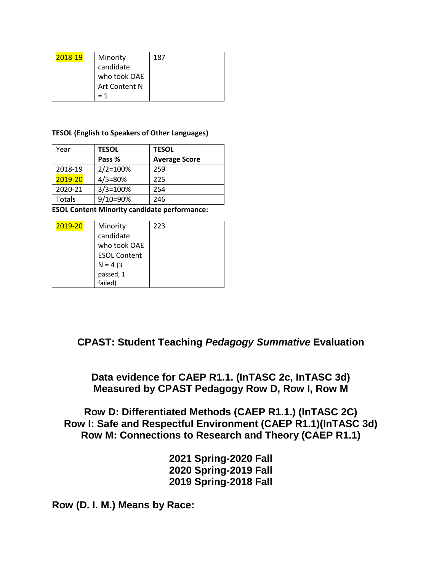| 2018-19 | Minority      | 187 |
|---------|---------------|-----|
|         | candidate     |     |
|         | who took OAE  |     |
|         | Art Content N |     |
|         |               |     |

#### **TESOL (English to Speakers of Other Languages)**

| Year    | <b>TESOL</b> | <b>TESOL</b>         |
|---------|--------------|----------------------|
|         | Pass %       | <b>Average Score</b> |
| 2018-19 | $2/2 = 100%$ | 259                  |
| 2019-20 | $4/5 = 80%$  | 225                  |
| 2020-21 | $3/3 = 100%$ | 254                  |
| Totals  | 9/10=90%     | 246                  |

**ESOL Content Minority candidate performance:** 

| 2019-20 | Minority            | 223 |
|---------|---------------------|-----|
|         | candidate           |     |
|         | who took OAE        |     |
|         | <b>ESOL Content</b> |     |
|         | $N = 4(3)$          |     |
|         | passed, 1           |     |
|         | failed)             |     |

## **CPAST: Student Teaching** *Pedagogy Summative* **Evaluation**

**Data evidence for CAEP R1.1. (InTASC 2c, InTASC 3d) Measured by CPAST Pedagogy Row D, Row I, Row M**

**Row D: Differentiated Methods (CAEP R1.1.) (InTASC 2C) Row I: Safe and Respectful Environment (CAEP R1.1)(InTASC 3d) Row M: Connections to Research and Theory (CAEP R1.1)**

> **2021 Spring-2020 Fall 2020 Spring-2019 Fall 2019 Spring-2018 Fall**

**Row (D. I. M.) Means by Race:**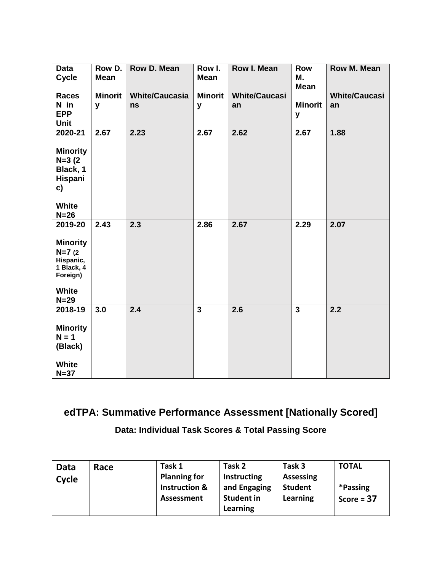| <b>Data</b><br><b>Cycle</b>                                                                      | Row D.<br><b>Mean</b> | <b>Row D. Mean</b>          | Row I.<br><b>Mean</b> | <b>Row I. Mean</b>         | Row<br>М.<br><b>Mean</b> | <b>Row M. Mean</b>         |
|--------------------------------------------------------------------------------------------------|-----------------------|-----------------------------|-----------------------|----------------------------|--------------------------|----------------------------|
| <b>Races</b><br>N in<br><b>EPP</b><br>Unit                                                       | <b>Minorit</b><br>y   | <b>White/Caucasia</b><br>ns | <b>Minorit</b><br>y   | <b>White/Caucasi</b><br>an | <b>Minorit</b><br>y      | <b>White/Caucasi</b><br>an |
| 2020-21<br><b>Minority</b><br>$N=3(2)$<br>Black, 1<br>Hispani<br>c)<br><b>White</b><br>$N=26$    | 2.67                  | 2.23                        | 2.67                  | 2.62                       | 2.67                     | 1.88                       |
| 2019-20<br><b>Minority</b><br>$N=7(2)$<br>Hispanic,<br>1 Black, 4<br>Foreign)<br>White<br>$N=29$ | 2.43                  | 2.3                         | 2.86                  | 2.67                       | 2.29                     | 2.07                       |
| 2018-19<br><b>Minority</b><br>$N = 1$<br>(Black)<br><b>White</b><br>$N=37$                       | 3.0                   | $\overline{2.4}$            | $\overline{3}$        | 2.6                        | $\overline{\mathbf{3}}$  | $\overline{2.2}$           |

# **edTPA: Summative Performance Assessment [Nationally Scored]**

**Data: Individual Task Scores & Total Passing Score**

| <b>Planning for</b><br><b>Instructing</b><br><b>Assessing</b><br>Cycle<br>*Passing<br><b>Instruction &amp;</b><br>and Engaging<br><b>Student</b><br><b>Student in</b><br>Learning<br>Assessment<br>Score = $37$<br>Learning | Data | Race | Task 1 | Task 2 | Task 3 | <b>TOTAL</b> |
|-----------------------------------------------------------------------------------------------------------------------------------------------------------------------------------------------------------------------------|------|------|--------|--------|--------|--------------|
|-----------------------------------------------------------------------------------------------------------------------------------------------------------------------------------------------------------------------------|------|------|--------|--------|--------|--------------|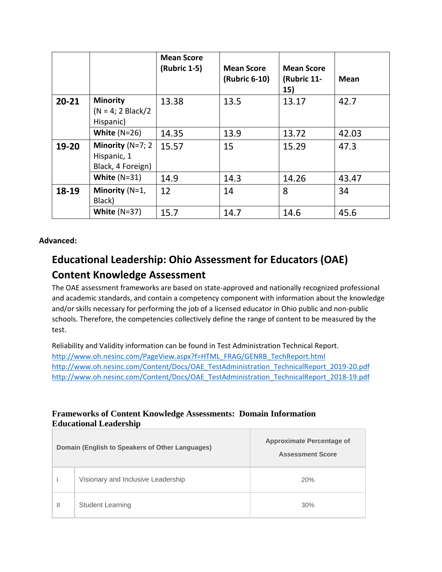|           |                                                         | <b>Mean Score</b><br>(Rubric 1-5) | <b>Mean Score</b><br>(Rubric 6-10) | <b>Mean Score</b><br>(Rubric 11-<br>15) | Mean  |
|-----------|---------------------------------------------------------|-----------------------------------|------------------------------------|-----------------------------------------|-------|
| $20 - 21$ | <b>Minority</b><br>$(N = 4; 2 Black/2)$<br>Hispanic)    | 13.38                             | 13.5                               | 13.17                                   | 42.7  |
|           | White $(N=26)$                                          | 14.35                             | 13.9                               | 13.72                                   | 42.03 |
| 19-20     | Minority $(N=7; 2)$<br>Hispanic, 1<br>Black, 4 Foreign) | 15.57                             | 15                                 | 15.29                                   | 47.3  |
|           | White $(N=31)$                                          | 14.9                              | 14.3                               | 14.26                                   | 43.47 |
| 18-19     | Minority (N=1,<br>Black)                                | 12                                | 14                                 | 8                                       | 34    |
|           | White $(N=37)$                                          | 15.7                              | 14.7                               | 14.6                                    | 45.6  |

## **Advanced:**

# **Educational Leadership: Ohio Assessment for Educators (OAE) Content Knowledge Assessment**

The OAE assessment frameworks are based on state-approved and nationally recognized professional and academic standards, and contain a competency component with information about the knowledge and/or skills necessary for performing the job of a licensed educator in Ohio public and non-public schools. Therefore, the competencies collectively define the range of content to be measured by the test.

Reliability and Validity information can be found in Test Administration Technical Report. [http://www.oh.nesinc.com/PageView.aspx?f=HTML\\_FRAG/GENRB\\_TechReport.html](http://www.oh.nesinc.com/PageView.aspx?f=HTML_FRAG/GENRB_TechReport.html) [http://www.oh.nesinc.com/Content/Docs/OAE\\_TestAdministration\\_TechnicalReport\\_2019-20.pdf](http://www.oh.nesinc.com/Content/Docs/OAE_TestAdministration_TechnicalReport_2019-20.pdf) [http://www.oh.nesinc.com/Content/Docs/OAE\\_TestAdministration\\_TechnicalReport\\_2018-19.pdf](http://www.oh.nesinc.com/Content/Docs/OAE_TestAdministration_TechnicalReport_2018-19.pdf)

## **Frameworks of Content Knowledge Assessments: Domain Information Educational Leadership**

|              | Domain (English to Speakers of Other Languages) | <b>Approximate Percentage of</b><br><b>Assessment Score</b> |
|--------------|-------------------------------------------------|-------------------------------------------------------------|
|              | Visionary and Inclusive Leadership              | 20%                                                         |
| $\mathbf{H}$ | <b>Student Learning</b>                         | 30%                                                         |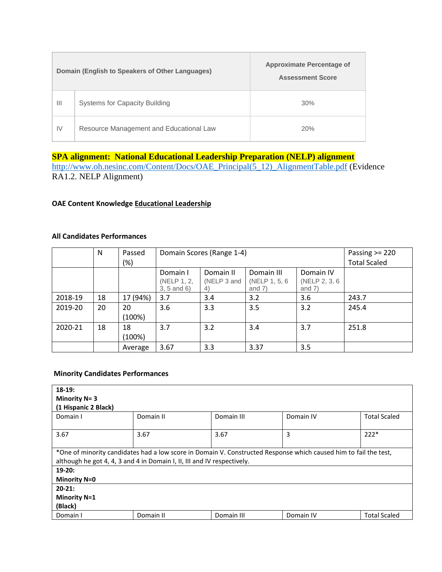|                | Domain (English to Speakers of Other Languages) | <b>Approximate Percentage of</b><br><b>Assessment Score</b> |
|----------------|-------------------------------------------------|-------------------------------------------------------------|
| $\mathbf{III}$ | <b>Systems for Capacity Building</b>            | 30%                                                         |
| IV             | Resource Management and Educational Law         | 20%                                                         |

## **SPA alignment: National Educational Leadership Preparation (NELP) alignment**

[http://www.oh.nesinc.com/Content/Docs/OAE\\_Principal\(5\\_12\)\\_AlignmentTable.pdf](http://www.oh.nesinc.com/Content/Docs/OAE_Principal(5_12)_AlignmentTable.pdf) (Evidence RA1.2. NELP Alignment)

#### **OAE Content Knowledge Educational Leadership**

#### **All Candidates Performances**

|         | N  | Passed       |                                            | Domain Scores (Range 1-4)      |                                          |                                         | Passing $>= 220$    |
|---------|----|--------------|--------------------------------------------|--------------------------------|------------------------------------------|-----------------------------------------|---------------------|
|         |    | $(\%)$       |                                            |                                |                                          |                                         | <b>Total Scaled</b> |
|         |    |              | Domain I<br>(NELP 1, 2,<br>$3, 5$ and $6)$ | Domain II<br>(NELP 3 and<br>4) | Domain III<br>(NELP 1, 5, 6)<br>and $7)$ | Domain IV<br>(NELP 2, 3, 6)<br>and $7)$ |                     |
| 2018-19 | 18 | 17 (94%)     | 3.7                                        | 3.4                            | 3.2                                      | 3.6                                     | 243.7               |
| 2019-20 | 20 | 20<br>(100%) | 3.6                                        | 3.3                            | 3.5                                      | 3.2                                     | 245.4               |
| 2020-21 | 18 | 18<br>(100%) | 3.7                                        | 3.2                            | 3.4                                      | 3.7                                     | 251.8               |
|         |    | Average      | 3.67                                       | 3.3                            | 3.37                                     | 3.5                                     |                     |

#### **Minority Candidates Performances**

| $18-19:$<br>Minority $N = 3$                                            |                                                                                     |            |                                                                                                                  |                     |  |  |  |  |
|-------------------------------------------------------------------------|-------------------------------------------------------------------------------------|------------|------------------------------------------------------------------------------------------------------------------|---------------------|--|--|--|--|
| Domain I                                                                | (1 Hispanic 2 Black)<br>Domain III<br>Domain II<br>Domain IV<br><b>Total Scaled</b> |            |                                                                                                                  |                     |  |  |  |  |
| 3.67                                                                    | 3.67                                                                                |            | 3                                                                                                                | $222*$              |  |  |  |  |
|                                                                         |                                                                                     | 3.67       |                                                                                                                  |                     |  |  |  |  |
| although he got 4, 4, 3 and 4 in Domain I, II, III and IV respectively. |                                                                                     |            | *One of minority candidates had a low score in Domain V. Constructed Response which caused him to fail the test, |                     |  |  |  |  |
| $19-20:$                                                                |                                                                                     |            |                                                                                                                  |                     |  |  |  |  |
| <b>Minority N=0</b>                                                     |                                                                                     |            |                                                                                                                  |                     |  |  |  |  |
| $20-21:$                                                                |                                                                                     |            |                                                                                                                  |                     |  |  |  |  |
| <b>Minority N=1</b>                                                     |                                                                                     |            |                                                                                                                  |                     |  |  |  |  |
| (Black)                                                                 |                                                                                     |            |                                                                                                                  |                     |  |  |  |  |
| Domain I                                                                | Domain II                                                                           | Domain III | Domain IV                                                                                                        | <b>Total Scaled</b> |  |  |  |  |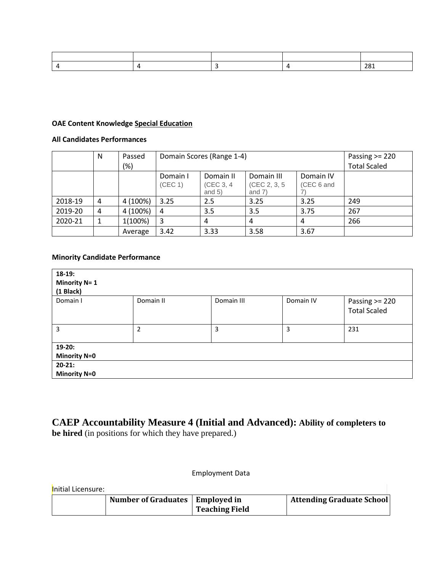|  |  | . .<br>- U - L<br>$- - -$ |
|--|--|---------------------------|

#### **OAE Content Knowledge Special Education**

#### **All Candidates Performances**

|         | N | Passed<br>(%) | Domain Scores (Range 1-4) |                                     |                                         | Passing $>= 220$<br><b>Total Scaled</b> |     |
|---------|---|---------------|---------------------------|-------------------------------------|-----------------------------------------|-----------------------------------------|-----|
|         |   |               | Domain I<br>(CEC 1)       | Domain II<br>(CEC 3, 4)<br>and $5)$ | Domain III<br>(CEC 2, 3, 5)<br>and $7)$ | Domain IV<br>(CEC 6 and                 |     |
| 2018-19 | 4 | 4 (100%)      | 3.25                      | 2.5                                 | 3.25                                    | 3.25                                    | 249 |
| 2019-20 | 4 | 4 (100%)      | 4                         | 3.5                                 | 3.5                                     | 3.75                                    | 267 |
| 2020-21 |   | 1(100%)       | 3                         | 4                                   | 4                                       | 4                                       | 266 |
|         |   | Average       | 3.42                      | 3.33                                | 3.58                                    | 3.67                                    |     |

#### **Minority Candidate Performance**

| $18-19:$<br><b>Minority N= 1</b><br>(1 Black) |           |            |           |                                |
|-----------------------------------------------|-----------|------------|-----------|--------------------------------|
| Domain I                                      | Domain II | Domain III | Domain IV | Passing >= 220<br>Total Scaled |
| 3                                             | 2         | 3          | 3         | 231                            |
| $19-20:$                                      |           |            |           |                                |
| <b>Minority N=0</b>                           |           |            |           |                                |
| $20-21:$                                      |           |            |           |                                |
| <b>Minority N=0</b>                           |           |            |           |                                |

# **CAEP Accountability Measure 4 (Initial and Advanced): Ability of completers to be hired** (in positions for which they have prepared.)

#### Employment Data

Initial Licensure:

| Number of Graduates   Employed in | <b>Teaching Field</b> | <b>Attending Graduate School</b> |
|-----------------------------------|-----------------------|----------------------------------|
|-----------------------------------|-----------------------|----------------------------------|